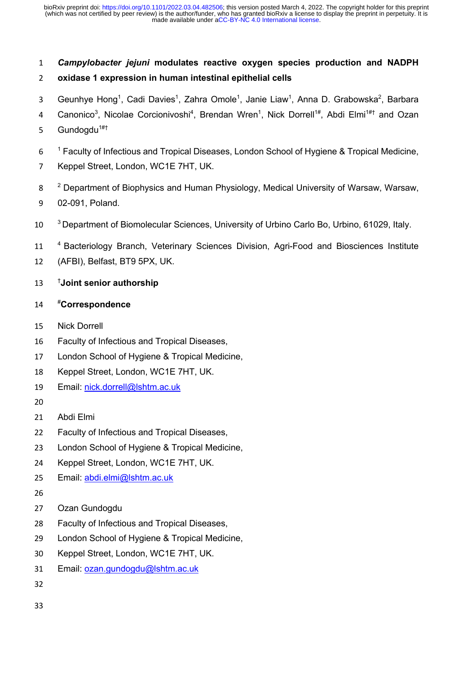# *Campylobacter jejuni* **modulates reactive oxygen species production and NADPH**

- **oxidase 1 expression in human intestinal epithelial cells**
- 3 Geunhye Hong<sup>1</sup>, Cadi Davies<sup>1</sup>, Zahra Omole<sup>1</sup>, Janie Liaw<sup>1</sup>, Anna D. Grabowska<sup>2</sup>, Barbara
- 4 Canonico<sup>3</sup>, Nicolae Corcionivoshi<sup>4</sup>, Brendan Wren<sup>1</sup>, Nick Dorrell<sup>1#</sup>, Abdi Elmi<sup>1#†</sup> and Ozan
- 5 Gundogdu<sup>1#†</sup>
- 6 <sup>1</sup> Faculty of Infectious and Tropical Diseases, London School of Hygiene & Tropical Medicine, Keppel Street, London, WC1E 7HT, UK.
- 8 <sup>2</sup> Department of Biophysics and Human Physiology, Medical University of Warsaw, Warsaw,
- 02-091, Poland.
- 10 <sup>3</sup> Department of Biomolecular Sciences, University of Urbino Carlo Bo, Urbino, 61029, Italy.
- 11 <sup>4</sup> Bacteriology Branch, Veterinary Sciences Division, Agri-Food and Biosciences Institute
- (AFBI), Belfast, BT9 5PX, UK.

# † **Joint senior authorship**

# # **Correspondence**

- Nick Dorrell
- Faculty of Infectious and Tropical Diseases,
- London School of Hygiene & Tropical Medicine,
- Keppel Street, London, WC1E 7HT, UK.
- Email: nick.dorrell@lshtm.ac.uk
- 
- Abdi Elmi
- Faculty of Infectious and Tropical Diseases,
- London School of Hygiene & Tropical Medicine,
- Keppel Street, London, WC1E 7HT, UK.
- Email: abdi.elmi@lshtm.ac.uk
- 
- Ozan Gundogdu
- Faculty of Infectious and Tropical Diseases,
- London School of Hygiene & Tropical Medicine,
- Keppel Street, London, WC1E 7HT, UK.
- Email: ozan.gundogdu@lshtm.ac.uk
- 
-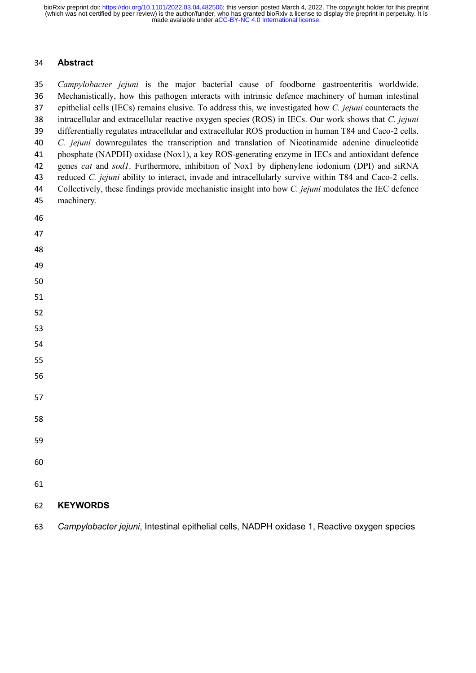### **Abstract**

 *Campylobacter jejuni* is the major bacterial cause of foodborne gastroenteritis worldwide. Mechanistically, how this pathogen interacts with intrinsic defence machinery of human intestinal epithelial cells (IECs) remains elusive. To address this, we investigated how *C. jejuni* counteracts the intracellular and extracellular reactive oxygen species (ROS) in IECs. Our work shows that *C. jejuni* differentially regulates intracellular and extracellular ROS production in human T84 and Caco-2 cells. *C. jejuni* downregulates the transcription and translation of Nicotinamide adenine dinucleotide phosphate (NAPDH) oxidase (Nox1), a key ROS-generating enzyme in IECs and antioxidant defence genes *cat* and *sod1*. Furthermore, inhibition of Nox1 by diphenylene iodonium (DPI) and siRNA reduced *C. jejuni* ability to interact, invade and intracellularly survive within T84 and Caco-2 cells. Collectively, these findings provide mechanistic insight into how *C. jejuni* modulates the IEC defence machinery. 

# **KEYWORDS**

*Campylobacter jejuni*, Intestinal epithelial cells, NADPH oxidase 1, Reactive oxygen species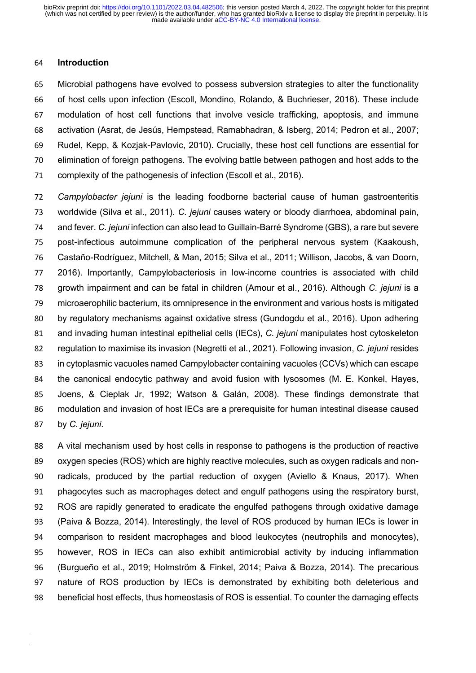#### **Introduction**

 Microbial pathogens have evolved to possess subversion strategies to alter the functionality of host cells upon infection (Escoll, Mondino, Rolando, & Buchrieser, 2016). These include modulation of host cell functions that involve vesicle trafficking, apoptosis, and immune activation (Asrat, de Jesús, Hempstead, Ramabhadran, & Isberg, 2014; Pedron et al., 2007; Rudel, Kepp, & Kozjak-Pavlovic, 2010). Crucially, these host cell functions are essential for elimination of foreign pathogens. The evolving battle between pathogen and host adds to the complexity of the pathogenesis of infection (Escoll et al., 2016).

 *Campylobacter jejuni* is the leading foodborne bacterial cause of human gastroenteritis worldwide (Silva et al., 2011). *C. jejuni* causes watery or bloody diarrhoea, abdominal pain, and fever. *C. jejuni* infection can also lead to Guillain-Barré Syndrome (GBS), a rare but severe post-infectious autoimmune complication of the peripheral nervous system (Kaakoush, Castaño-Rodríguez, Mitchell, & Man, 2015; Silva et al., 2011; Willison, Jacobs, & van Doorn, 2016). Importantly, Campylobacteriosis in low-income countries is associated with child growth impairment and can be fatal in children (Amour et al., 2016). Although *C. jejuni* is a microaerophilic bacterium, its omnipresence in the environment and various hosts is mitigated by regulatory mechanisms against oxidative stress (Gundogdu et al., 2016). Upon adhering and invading human intestinal epithelial cells (IECs), *C. jejuni* manipulates host cytoskeleton regulation to maximise its invasion (Negretti et al., 2021). Following invasion, *C. jejuni* resides in cytoplasmic vacuoles named Campylobacter containing vacuoles (CCVs) which can escape the canonical endocytic pathway and avoid fusion with lysosomes (M. E. Konkel, Hayes, Joens, & Cieplak Jr, 1992; Watson & Galán, 2008). These findings demonstrate that modulation and invasion of host IECs are a prerequisite for human intestinal disease caused by *C. jejuni*.

 A vital mechanism used by host cells in response to pathogens is the production of reactive oxygen species (ROS) which are highly reactive molecules, such as oxygen radicals and non- radicals, produced by the partial reduction of oxygen (Aviello & Knaus, 2017). When phagocytes such as macrophages detect and engulf pathogens using the respiratory burst, ROS are rapidly generated to eradicate the engulfed pathogens through oxidative damage (Paiva & Bozza, 2014). Interestingly, the level of ROS produced by human IECs is lower in comparison to resident macrophages and blood leukocytes (neutrophils and monocytes), however, ROS in IECs can also exhibit antimicrobial activity by inducing inflammation (Burgueño et al., 2019; Holmström & Finkel, 2014; Paiva & Bozza, 2014). The precarious nature of ROS production by IECs is demonstrated by exhibiting both deleterious and beneficial host effects, thus homeostasis of ROS is essential. To counter the damaging effects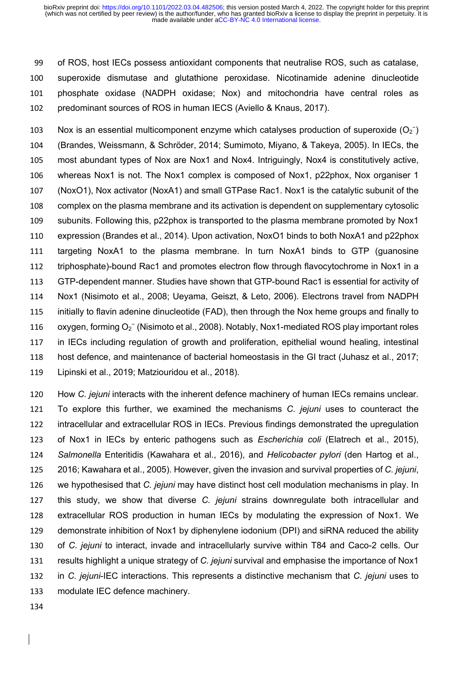of ROS, host IECs possess antioxidant components that neutralise ROS, such as catalase, superoxide dismutase and glutathione peroxidase. Nicotinamide adenine dinucleotide phosphate oxidase (NADPH oxidase; Nox) and mitochondria have central roles as predominant sources of ROS in human IECS (Aviello & Knaus, 2017).

103 Nox is an essential multicomponent enzyme which catalyses production of superoxide  $(O_2^-)$  (Brandes, Weissmann, & Schröder, 2014; Sumimoto, Miyano, & Takeya, 2005). In IECs, the most abundant types of Nox are Nox1 and Nox4. Intriguingly, Nox4 is constitutively active, whereas Nox1 is not. The Nox1 complex is composed of Nox1, p22phox, Nox organiser 1 (NoxO1), Nox activator (NoxA1) and small GTPase Rac1. Nox1 is the catalytic subunit of the complex on the plasma membrane and its activation is dependent on supplementary cytosolic subunits. Following this, p22phox is transported to the plasma membrane promoted by Nox1 expression (Brandes et al., 2014). Upon activation, NoxO1 binds to both NoxA1 and p22phox targeting NoxA1 to the plasma membrane. In turn NoxA1 binds to GTP (guanosine triphosphate)-bound Rac1 and promotes electron flow through flavocytochrome in Nox1 in a GTP-dependent manner. Studies have shown that GTP-bound Rac1 is essential for activity of Nox1 (Nisimoto et al., 2008; Ueyama, Geiszt, & Leto, 2006). Electrons travel from NADPH initially to flavin adenine dinucleotide (FAD), then through the Nox heme groups and finally to 116 oxygen, forming  $O_2^-$  (Nisimoto et al., 2008). Notably, Nox1-mediated ROS play important roles in IECs including regulation of growth and proliferation, epithelial wound healing, intestinal host defence, and maintenance of bacterial homeostasis in the GI tract (Juhasz et al., 2017; Lipinski et al., 2019; Matziouridou et al., 2018).

 How *C. jejuni* interacts with the inherent defence machinery of human IECs remains unclear. To explore this further, we examined the mechanisms *C. jejuni* uses to counteract the intracellular and extracellular ROS in IECs. Previous findings demonstrated the upregulation of Nox1 in IECs by enteric pathogens such as *Escherichia coli* (Elatrech et al., 2015), *Salmonella* Enteritidis (Kawahara et al., 2016), and *Helicobacter pylori* (den Hartog et al., 2016; Kawahara et al., 2005). However, given the invasion and survival properties of *C. jejuni*, we hypothesised that *C. jejuni* may have distinct host cell modulation mechanisms in play. In this study, we show that diverse *C. jejuni* strains downregulate both intracellular and extracellular ROS production in human IECs by modulating the expression of Nox1. We demonstrate inhibition of Nox1 by diphenylene iodonium (DPI) and siRNA reduced the ability of *C. jejuni* to interact, invade and intracellularly survive within T84 and Caco-2 cells. Our results highlight a unique strategy of *C. jejuni* survival and emphasise the importance of Nox1 in *C. jejuni*-IEC interactions. This represents a distinctive mechanism that *C. jejuni* uses to modulate IEC defence machinery.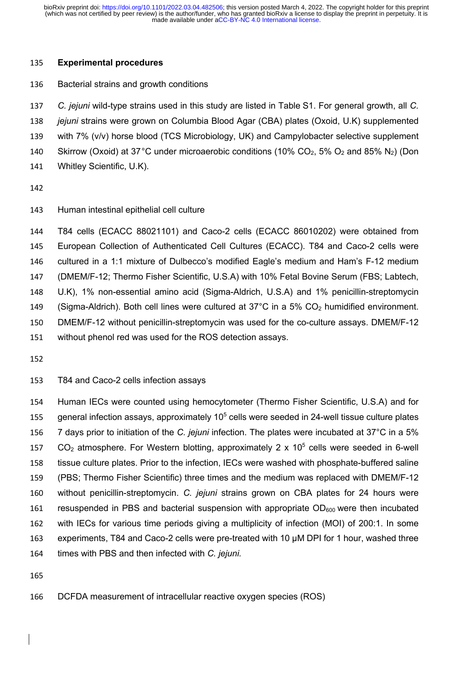#### **Experimental procedures**

### Bacterial strains and growth conditions

*C. jejuni* wild-type strains used in this study are listed in Table S1. For general growth, all *C.* 

*jejuni* strains were grown on Columbia Blood Agar (CBA) plates (Oxoid, U.K) supplemented

with 7% (v/v) horse blood (TCS Microbiology, UK) and Campylobacter selective supplement

- 140 Skirrow (Oxoid) at 37°C under microaerobic conditions (10%  $CO_2$ , 5%  $O_2$  and 85% N<sub>2</sub>) (Don
- Whitley Scientific, U.K).
- 

### Human intestinal epithelial cell culture

 T84 cells (ECACC 88021101) and Caco-2 cells (ECACC 86010202) were obtained from European Collection of Authenticated Cell Cultures (ECACC). T84 and Caco-2 cells were cultured in a 1:1 mixture of Dulbecco's modified Eagle's medium and Ham's F-12 medium (DMEM/F-12; Thermo Fisher Scientific, U.S.A) with 10% Fetal Bovine Serum (FBS; Labtech, U.K), 1% non-essential amino acid (Sigma-Aldrich, U.S.A) and 1% penicillin-streptomycin 149 (Sigma-Aldrich). Both cell lines were cultured at  $37^{\circ}$ C in a  $5\%$  CO<sub>2</sub> humidified environment. DMEM/F-12 without penicillin-streptomycin was used for the co-culture assays. DMEM/F-12 without phenol red was used for the ROS detection assays.

### T84 and Caco-2 cells infection assays

 Human IECs were counted using hemocytometer (Thermo Fisher Scientific, U.S.A) and for 155 ceneral infection assays, approximately  $10<sup>5</sup>$  cells were seeded in 24-well tissue culture plates 7 days prior to initiation of the *C. jejuni* infection. The plates were incubated at 37°C in a 5%  $CO<sub>2</sub>$  atmosphere. For Western blotting, approximately 2 x 10<sup>5</sup> cells were seeded in 6-well tissue culture plates. Prior to the infection, IECs were washed with phosphate-buffered saline (PBS; Thermo Fisher Scientific) three times and the medium was replaced with DMEM/F-12 without penicillin-streptomycin. *C. jejuni* strains grown on CBA plates for 24 hours were 161 resuspended in PBS and bacterial suspension with appropriate  $OD<sub>600</sub>$  were then incubated with IECs for various time periods giving a multiplicity of infection (MOI) of 200:1. In some experiments, T84 and Caco-2 cells were pre-treated with 10 µM DPI for 1 hour, washed three times with PBS and then infected with *C. jejuni.*

### DCFDA measurement of intracellular reactive oxygen species (ROS)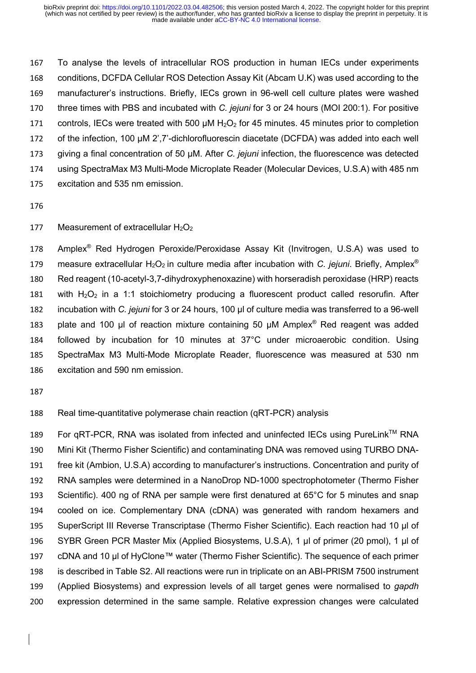To analyse the levels of intracellular ROS production in human IECs under experiments conditions, DCFDA Cellular ROS Detection Assay Kit (Abcam U.K) was used according to the manufacturer's instructions. Briefly, IECs grown in 96-well cell culture plates were washed three times with PBS and incubated with *C. jejuni* for 3 or 24 hours (MOI 200:1). For positive 171 controls, IECs were treated with 500  $\mu$ M H<sub>2</sub>O<sub>2</sub> for 45 minutes. 45 minutes prior to completion of the infection, 100 μM 2',7'-dichlorofluorescin diacetate (DCFDA) was added into each well giving a final concentration of 50 μM. After *C. jejuni* infection, the fluorescence was detected using SpectraMax M3 Multi-Mode Microplate Reader (Molecular Devices, U.S.A) with 485 nm excitation and 535 nm emission.

- 
- 177 Measurement of extracellular  $H_2O_2$

178 Amplex<sup>®</sup> Red Hydrogen Peroxide/Peroxidase Assay Kit (Invitrogen, U.S.A) was used to 179 measure extracellular  $H_2O_2$  in culture media after incubation with *C. jejuni*. Briefly, Amplex<sup>®</sup> Red reagent (10-acetyl-3,7-dihydroxyphenoxazine) with horseradish peroxidase (HRP) reacts 181 with  $H_2O_2$  in a 1:1 stoichiometry producing a fluorescent product called resorufin. After incubation with *C. jejuni* for 3 or 24 hours, 100 µl of culture media was transferred to a 96-well 183 plate and 100 µl of reaction mixture containing 50  $\mu$ M Amplex<sup>®</sup> Red reagent was added followed by incubation for 10 minutes at 37°C under microaerobic condition. Using SpectraMax M3 Multi-Mode Microplate Reader, fluorescence was measured at 530 nm excitation and 590 nm emission.

Real time-quantitative polymerase chain reaction (qRT-PCR) analysis

189 For qRT-PCR, RNA was isolated from infected and uninfected IECs using PureLink™ RNA Mini Kit (Thermo Fisher Scientific) and contaminating DNA was removed using TURBO DNA- free kit (Ambion, U.S.A) according to manufacturer's instructions. Concentration and purity of RNA samples were determined in a NanoDrop ND-1000 spectrophotometer (Thermo Fisher 193 Scientific). 400 ng of RNA per sample were first denatured at 65°C for 5 minutes and snap cooled on ice. Complementary DNA (cDNA) was generated with random hexamers and SuperScript III Reverse Transcriptase (Thermo Fisher Scientific). Each reaction had 10 µl of SYBR Green PCR Master Mix (Applied Biosystems, U.S.A), 1 µl of primer (20 pmol), 1 µl of cDNA and 10 µl of HyClone™ water (Thermo Fisher Scientific). The sequence of each primer is described in Table S2. All reactions were run in triplicate on an ABI-PRISM 7500 instrument (Applied Biosystems) and expression levels of all target genes were normalised to *gapdh* expression determined in the same sample. Relative expression changes were calculated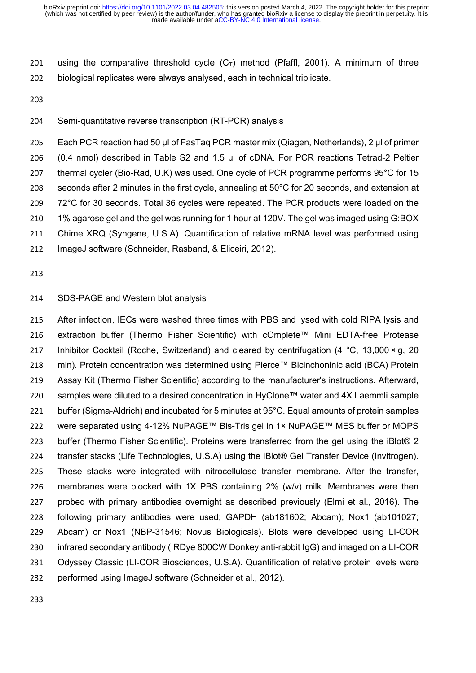201 using the comparative threshold cycle  $(C_T)$  method (Pfaffl, 2001). A minimum of three biological replicates were always analysed, each in technical triplicate.

Semi-quantitative reverse transcription (RT-PCR) analysis

 Each PCR reaction had 50 μl of FasTaq PCR master mix (Qiagen, Netherlands), 2 μl of primer (0.4 nmol) described in Table S2 and 1.5 μl of cDNA. For PCR reactions Tetrad-2 Peltier thermal cycler (Bio-Rad, U.K) was used. One cycle of PCR programme performs 95°C for 15 seconds after 2 minutes in the first cycle, annealing at 50°C for 20 seconds, and extension at 209 72°C for 30 seconds. Total 36 cycles were repeated. The PCR products were loaded on the 1% agarose gel and the gel was running for 1 hour at 120V. The gel was imaged using G:BOX Chime XRQ (Syngene, U.S.A). Quantification of relative mRNA level was performed using ImageJ software (Schneider, Rasband, & Eliceiri, 2012).

#### SDS-PAGE and Western blot analysis

215 After infection, IECs were washed three times with PBS and lysed with cold RIPA lysis and extraction buffer (Thermo Fisher Scientific) with cOmplete™ Mini EDTA-free Protease Inhibitor Cocktail (Roche, Switzerland) and cleared by centrifugation (4 °C, 13,000 × g, 20 min). Protein concentration was determined using Pierce™ Bicinchoninic acid (BCA) Protein Assay Kit (Thermo Fisher Scientific) according to the manufacturer's instructions. Afterward, samples were diluted to a desired concentration in HyClone™ water and 4X Laemmli sample 221 buffer (Sigma-Aldrich) and incubated for 5 minutes at 95°C. Equal amounts of protein samples were separated using 4-12% NuPAGE™ Bis-Tris gel in 1× NuPAGE™ MES buffer or MOPS 223 buffer (Thermo Fisher Scientific). Proteins were transferred from the gel using the iBlot® 2 transfer stacks (Life Technologies, U.S.A) using the iBlot® Gel Transfer Device (Invitrogen). These stacks were integrated with nitrocellulose transfer membrane. After the transfer, 226 membranes were blocked with 1X PBS containing  $2\%$  (w/v) milk. Membranes were then probed with primary antibodies overnight as described previously (Elmi et al., 2016). The following primary antibodies were used; GAPDH (ab181602; Abcam); Nox1 (ab101027; Abcam) or Nox1 (NBP-31546; Novus Biologicals). Blots were developed using LI-COR infrared secondary antibody (IRDye 800CW Donkey anti-rabbit IgG) and imaged on a LI-COR Odyssey Classic (LI-COR Biosciences, U.S.A). Quantification of relative protein levels were performed using ImageJ software (Schneider et al., 2012).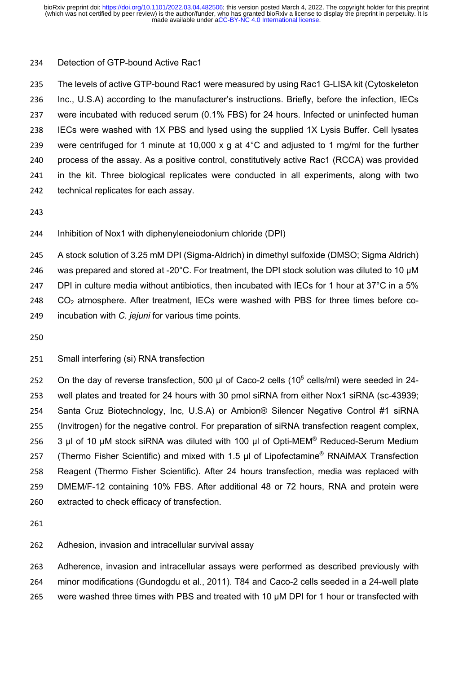#### Detection of GTP-bound Active Rac1

 The levels of active GTP-bound Rac1 were measured by using Rac1 G-LISA kit (Cytoskeleton Inc., U.S.A) according to the manufacturer's instructions. Briefly, before the infection, IECs were incubated with reduced serum (0.1% FBS) for 24 hours. Infected or uninfected human IECs were washed with 1X PBS and lysed using the supplied 1X Lysis Buffer. Cell lysates 239 were centrifuged for 1 minute at 10,000 x g at  $4^{\circ}$ C and adjusted to 1 mg/ml for the further process of the assay. As a positive control, constitutively active Rac1 (RCCA) was provided in the kit. Three biological replicates were conducted in all experiments, along with two technical replicates for each assay.

Inhibition of Nox1 with diphenyleneiodonium chloride (DPI)

 A stock solution of 3.25 mM DPI (Sigma-Aldrich) in dimethyl sulfoxide (DMSO; Sigma Aldrich) was prepared and stored at -20°C. For treatment, the DPI stock solution was diluted to 10 μM 247 DPI in culture media without antibiotics, then incubated with IECs for 1 hour at 37°C in a 5% CO<sub>2</sub> atmosphere. After treatment, IECs were washed with PBS for three times before co-incubation with *C. jejuni* for various time points.

Small interfering (si) RNA transfection

252 On the day of reverse transfection, 500 μl of Caco-2 cells  $(10^5 \text{ cells/ml})$  were seeded in 24- well plates and treated for 24 hours with 30 pmol siRNA from either Nox1 siRNA (sc-43939; Santa Cruz Biotechnology, Inc, U.S.A) or Ambion® Silencer Negative Control #1 siRNA (Invitrogen) for the negative control. For preparation of siRNA transfection reagent complex, 256 3 μl of 10 μM stock siRNA was diluted with 100 μl of Opti-MEM® Reduced-Serum Medium 257 (Thermo Fisher Scientific) and mixed with 1.5 μl of Lipofectamine<sup>®</sup> RNAiMAX Transfection Reagent (Thermo Fisher Scientific). After 24 hours transfection, media was replaced with DMEM/F-12 containing 10% FBS. After additional 48 or 72 hours, RNA and protein were extracted to check efficacy of transfection.

Adhesion, invasion and intracellular survival assay

 Adherence, invasion and intracellular assays were performed as described previously with minor modifications (Gundogdu et al., 2011). T84 and Caco-2 cells seeded in a 24-well plate were washed three times with PBS and treated with 10 μM DPI for 1 hour or transfected with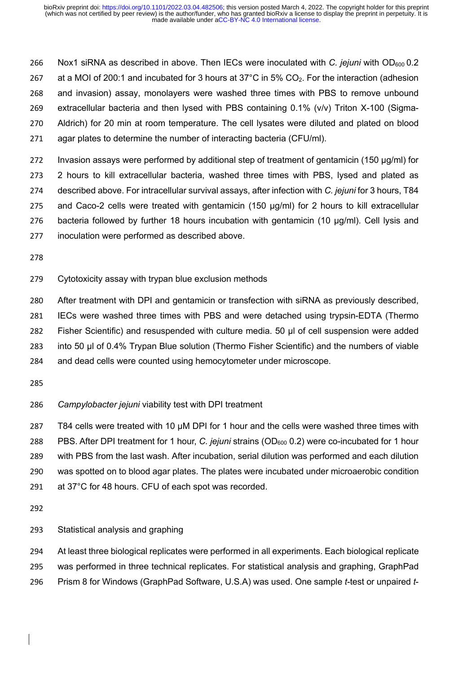Nox1 siRNA as described in above. Then IECs were inoculated with *C. jejuni* with OD600 0.2 267 at a MOI of 200:1 and incubated for 3 hours at  $37^{\circ}$ C in 5% CO<sub>2</sub>. For the interaction (adhesion and invasion) assay, monolayers were washed three times with PBS to remove unbound extracellular bacteria and then lysed with PBS containing 0.1% (v/v) Triton X-100 (Sigma- Aldrich) for 20 min at room temperature. The cell lysates were diluted and plated on blood agar plates to determine the number of interacting bacteria (CFU/ml).

272 Invasion assays were performed by additional step of treatment of gentamicin (150 µg/ml) for 2 hours to kill extracellular bacteria, washed three times with PBS, lysed and plated as described above. For intracellular survival assays, after infection with *C. jejuni* for 3 hours, T84 275 and Caco-2 cells were treated with gentamicin (150 µg/ml) for 2 hours to kill extracellular 276 bacteria followed by further 18 hours incubation with gentamicin (10 µg/ml). Cell lysis and inoculation were performed as described above.

## Cytotoxicity assay with trypan blue exclusion methods

 After treatment with DPI and gentamicin or transfection with siRNA as previously described, IECs were washed three times with PBS and were detached using trypsin-EDTA (Thermo Fisher Scientific) and resuspended with culture media. 50 μl of cell suspension were added into 50 μl of 0.4% Trypan Blue solution (Thermo Fisher Scientific) and the numbers of viable

- and dead cells were counted using hemocytometer under microscope.
- 
- *Campylobacter jejuni* viability test with DPI treatment

 T84 cells were treated with 10 μM DPI for 1 hour and the cells were washed three times with 288 PBS. After DPI treatment for 1 hour, *C. jejuni* strains (OD<sub>600</sub> 0.2) were co-incubated for 1 hour with PBS from the last wash. After incubation, serial dilution was performed and each dilution was spotted on to blood agar plates. The plates were incubated under microaerobic condition at 37°C for 48 hours. CFU of each spot was recorded.

Statistical analysis and graphing

 At least three biological replicates were performed in all experiments. Each biological replicate was performed in three technical replicates. For statistical analysis and graphing, GraphPad Prism 8 for Windows (GraphPad Software, U.S.A) was used. One sample *t*-test or unpaired *t*-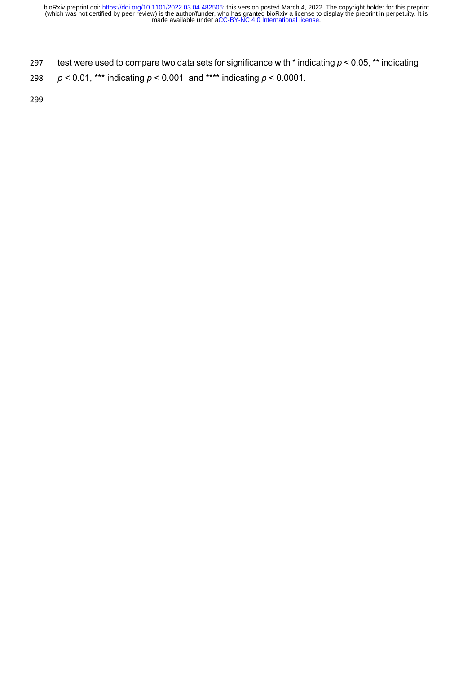- 297 test were used to compare two data sets for significance with  $*$  indicating  $p < 0.05$ ,  $**$  indicating
- 298 *p* < 0.01, \*\*\* indicating *p* < 0.001, and \*\*\*\* indicating *p* < 0.0001.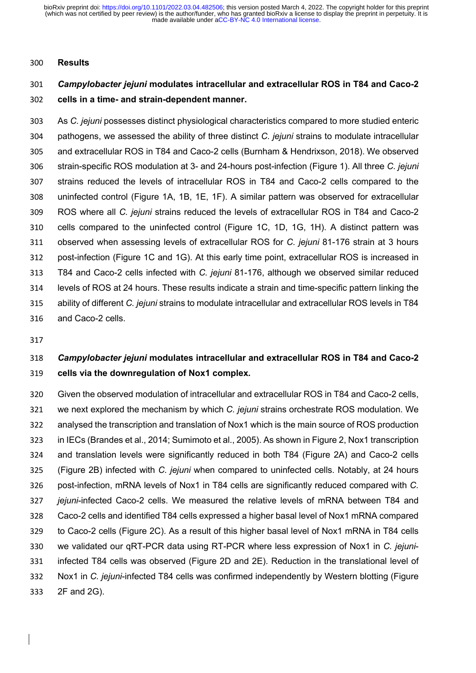#### **Results**

# *Campylobacter jejuni* **modulates intracellular and extracellular ROS in T84 and Caco-2 cells in a time- and strain-dependent manner.**

 As *C. jejuni* possesses distinct physiological characteristics compared to more studied enteric pathogens, we assessed the ability of three distinct *C. jejuni* strains to modulate intracellular and extracellular ROS in T84 and Caco-2 cells (Burnham & Hendrixson, 2018). We observed strain-specific ROS modulation at 3- and 24-hours post-infection (Figure 1). All three *C. jejuni* strains reduced the levels of intracellular ROS in T84 and Caco-2 cells compared to the uninfected control (Figure 1A, 1B, 1E, 1F). A similar pattern was observed for extracellular ROS where all *C. jejuni* strains reduced the levels of extracellular ROS in T84 and Caco-2 cells compared to the uninfected control (Figure 1C, 1D, 1G, 1H). A distinct pattern was observed when assessing levels of extracellular ROS for *C. jejuni* 81-176 strain at 3 hours post-infection (Figure 1C and 1G). At this early time point, extracellular ROS is increased in T84 and Caco-2 cells infected with *C. jejuni* 81-176, although we observed similar reduced levels of ROS at 24 hours. These results indicate a strain and time-specific pattern linking the ability of different *C. jejuni* strains to modulate intracellular and extracellular ROS levels in T84 and Caco-2 cells.

# *Campylobacter jejuni* **modulates intracellular and extracellular ROS in T84 and Caco-2 cells via the downregulation of Nox1 complex***.*

 Given the observed modulation of intracellular and extracellular ROS in T84 and Caco-2 cells, we next explored the mechanism by which *C. jejuni* strains orchestrate ROS modulation. We analysed the transcription and translation of Nox1 which is the main source of ROS production in IECs (Brandes et al., 2014; Sumimoto et al., 2005). As shown in Figure 2, Nox1 transcription and translation levels were significantly reduced in both T84 (Figure 2A) and Caco-2 cells (Figure 2B) infected with *C. jejuni* when compared to uninfected cells. Notably, at 24 hours post-infection, mRNA levels of Nox1 in T84 cells are significantly reduced compared with *C. jejuni*-infected Caco-2 cells. We measured the relative levels of mRNA between T84 and Caco-2 cells and identified T84 cells expressed a higher basal level of Nox1 mRNA compared to Caco-2 cells (Figure 2C). As a result of this higher basal level of Nox1 mRNA in T84 cells we validated our qRT-PCR data using RT-PCR where less expression of Nox1 in *C. jejuni*- infected T84 cells was observed (Figure 2D and 2E). Reduction in the translational level of Nox1 in *C. jejuni*-infected T84 cells was confirmed independently by Western blotting (Figure 2F and 2G).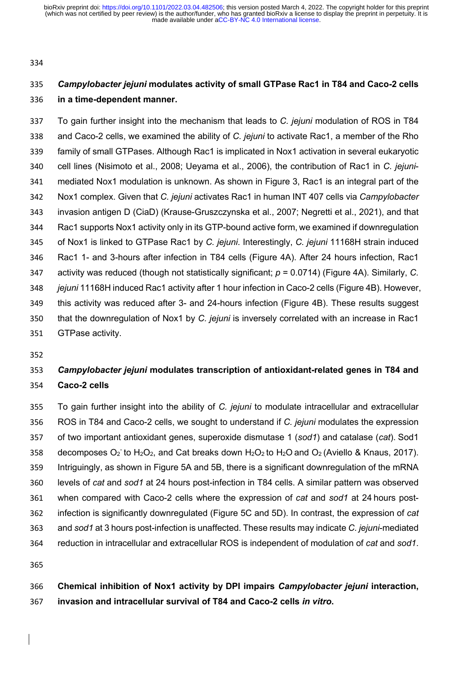# *Campylobacter jejuni* **modulates activity of small GTPase Rac1 in T84 and Caco-2 cells in a time-dependent manner.**

 To gain further insight into the mechanism that leads to *C. jejuni* modulation of ROS in T84 and Caco-2 cells, we examined the ability of *C. jejuni* to activate Rac1, a member of the Rho family of small GTPases. Although Rac1 is implicated in Nox1 activation in several eukaryotic cell lines (Nisimoto et al., 2008; Ueyama et al., 2006), the contribution of Rac1 in *C. jejuni*- mediated Nox1 modulation is unknown. As shown in Figure 3, Rac1 is an integral part of the Nox1 complex. Given that *C. jejuni* activates Rac1 in human INT 407 cells via *Campylobacter* invasion antigen D (CiaD) (Krause-Gruszczynska et al., 2007; Negretti et al., 2021), and that Rac1 supports Nox1 activity only in its GTP-bound active form, we examined if downregulation of Nox1 is linked to GTPase Rac1 by *C. jejuni*. Interestingly, *C. jejuni* 11168H strain induced Rac1 1- and 3-hours after infection in T84 cells (Figure 4A). After 24 hours infection, Rac1 activity was reduced (though not statistically significant; *p* = 0.0714) (Figure 4A). Similarly, *C. jejuni* 11168H induced Rac1 activity after 1 hour infection in Caco-2 cells (Figure 4B). However, this activity was reduced after 3- and 24-hours infection (Figure 4B). These results suggest that the downregulation of Nox1 by *C. jejuni* is inversely correlated with an increase in Rac1 GTPase activity.

# *Campylobacter jejuni* **modulates transcription of antioxidant-related genes in T84 and Caco-2 cells**

 To gain further insight into the ability of *C. jejuni* to modulate intracellular and extracellular ROS in T84 and Caco-2 cells, we sought to understand if *C. jejuni* modulates the expression of two important antioxidant genes, superoxide dismutase 1 (*sod1*) and catalase (*cat*). Sod1 358 decomposes  $O_2$  to H<sub>2</sub>O<sub>2</sub>, and Cat breaks down H<sub>2</sub>O<sub>2</sub> to H<sub>2</sub>O and O<sub>2</sub> (Aviello & Knaus, 2017). Intriguingly, as shown in Figure 5A and 5B, there is a significant downregulation of the mRNA levels of *cat* and *sod1* at 24 hours post-infection in T84 cells. A similar pattern was observed when compared with Caco-2 cells where the expression of *cat* and *sod1* at 24 hours post- infection is significantly downregulated (Figure 5C and 5D). In contrast, the expression of *cat* and *sod1* at 3 hours post-infection is unaffected. These results may indicate *C. jejuni*-mediated reduction in intracellular and extracellular ROS is independent of modulation of *cat* and *sod1*.

# **Chemical inhibition of Nox1 activity by DPI impairs** *Campylobacter jejuni* **interaction, invasion and intracellular survival of T84 and Caco-2 cells** *in vitro***.**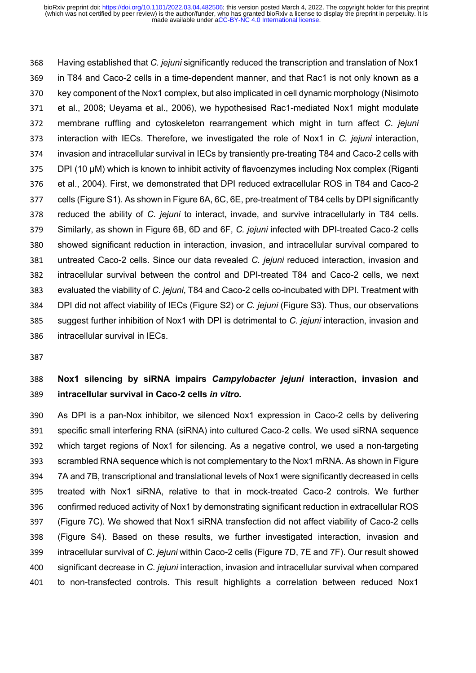Having established that *C. jejuni* significantly reduced the transcription and translation of Nox1 in T84 and Caco-2 cells in a time-dependent manner, and that Rac1 is not only known as a key component of the Nox1 complex, but also implicated in cell dynamic morphology (Nisimoto et al., 2008; Ueyama et al., 2006), we hypothesised Rac1-mediated Nox1 might modulate membrane ruffling and cytoskeleton rearrangement which might in turn affect *C. jejuni* interaction with IECs. Therefore, we investigated the role of Nox1 in *C. jejuni* interaction, invasion and intracellular survival in IECs by transiently pre-treating T84 and Caco-2 cells with 375 DPI (10 µM) which is known to inhibit activity of flavoenzymes including Nox complex (Riganti et al., 2004). First, we demonstrated that DPI reduced extracellular ROS in T84 and Caco-2 cells (Figure S1). As shown in Figure 6A, 6C, 6E, pre-treatment of T84 cells by DPI significantly reduced the ability of *C. jejuni* to interact, invade, and survive intracellularly in T84 cells. Similarly, as shown in Figure 6B, 6D and 6F, *C. jejuni* infected with DPI-treated Caco-2 cells showed significant reduction in interaction, invasion, and intracellular survival compared to untreated Caco-2 cells. Since our data revealed *C. jejuni* reduced interaction, invasion and intracellular survival between the control and DPI-treated T84 and Caco-2 cells, we next evaluated the viability of *C. jejuni*, T84 and Caco-2 cells co-incubated with DPI. Treatment with DPI did not affect viability of IECs (Figure S2) or *C. jejuni* (Figure S3). Thus, our observations suggest further inhibition of Nox1 with DPI is detrimental to *C. jejuni* interaction, invasion and intracellular survival in IECs.

# **Nox1 silencing by siRNA impairs** *Campylobacter jejuni* **interaction, invasion and intracellular survival in Caco-2 cells** *in vitro.*

 As DPI is a pan-Nox inhibitor, we silenced Nox1 expression in Caco-2 cells by delivering specific small interfering RNA (siRNA) into cultured Caco-2 cells. We used siRNA sequence which target regions of Nox1 for silencing. As a negative control, we used a non-targeting scrambled RNA sequence which is not complementary to the Nox1 mRNA. As shown in Figure 7A and 7B, transcriptional and translational levels of Nox1 were significantly decreased in cells treated with Nox1 siRNA, relative to that in mock-treated Caco-2 controls. We further confirmed reduced activity of Nox1 by demonstrating significant reduction in extracellular ROS (Figure 7C). We showed that Nox1 siRNA transfection did not affect viability of Caco-2 cells (Figure S4). Based on these results, we further investigated interaction, invasion and intracellular survival of *C. jejuni* within Caco-2 cells (Figure 7D, 7E and 7F). Our result showed significant decrease in *C. jejuni* interaction, invasion and intracellular survival when compared to non-transfected controls. This result highlights a correlation between reduced Nox1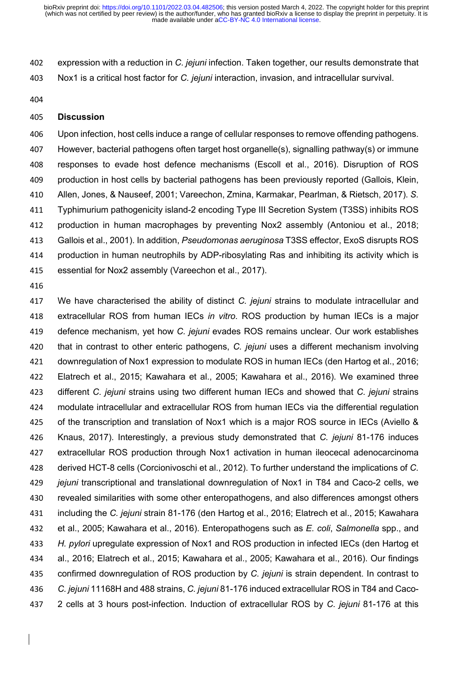expression with a reduction in *C. jejuni* infection. Taken together, our results demonstrate that Nox1 is a critical host factor for *C. jejuni* interaction, invasion, and intracellular survival.

#### 

#### **Discussion**

 Upon infection, host cells induce a range of cellular responses to remove offending pathogens. However, bacterial pathogens often target host organelle(s), signalling pathway(s) or immune responses to evade host defence mechanisms (Escoll et al., 2016). Disruption of ROS production in host cells by bacterial pathogens has been previously reported (Gallois, Klein, Allen, Jones, & Nauseef, 2001; Vareechon, Zmina, Karmakar, Pearlman, & Rietsch, 2017). *S.*  Typhimurium pathogenicity island-2 encoding Type III Secretion System (T3SS) inhibits ROS production in human macrophages by preventing Nox2 assembly (Antoniou et al., 2018; Gallois et al., 2001). In addition, *Pseudomonas aeruginosa* T3SS effector, ExoS disrupts ROS production in human neutrophils by ADP-ribosylating Ras and inhibiting its activity which is essential for Nox2 assembly (Vareechon et al., 2017).

 We have characterised the ability of distinct *C. jejuni* strains to modulate intracellular and extracellular ROS from human IECs *in vitro*. ROS production by human IECs is a major defence mechanism, yet how *C. jejuni* evades ROS remains unclear. Our work establishes that in contrast to other enteric pathogens, *C. jejuni* uses a different mechanism involving downregulation of Nox1 expression to modulate ROS in human IECs (den Hartog et al., 2016; Elatrech et al., 2015; Kawahara et al., 2005; Kawahara et al., 2016). We examined three different *C. jejuni* strains using two different human IECs and showed that *C. jejuni* strains modulate intracellular and extracellular ROS from human IECs via the differential regulation of the transcription and translation of Nox1 which is a major ROS source in IECs (Aviello & Knaus, 2017). Interestingly, a previous study demonstrated that *C. jejuni* 81-176 induces extracellular ROS production through Nox1 activation in human ileocecal adenocarcinoma derived HCT-8 cells (Corcionivoschi et al., 2012). To further understand the implications of *C. jejuni* transcriptional and translational downregulation of Nox1 in T84 and Caco-2 cells, we revealed similarities with some other enteropathogens, and also differences amongst others including the *C. jejuni* strain 81-176 (den Hartog et al., 2016; Elatrech et al., 2015; Kawahara et al., 2005; Kawahara et al., 2016). Enteropathogens such as *E. coli*, *Salmonella* spp., and *H. pylori* upregulate expression of Nox1 and ROS production in infected IECs (den Hartog et al., 2016; Elatrech et al., 2015; Kawahara et al., 2005; Kawahara et al., 2016). Our findings confirmed downregulation of ROS production by *C. jejuni* is strain dependent. In contrast to *C. jejuni* 11168H and 488 strains, *C. jejuni* 81-176 induced extracellular ROS in T84 and Caco-2 cells at 3 hours post-infection. Induction of extracellular ROS by *C. jejuni* 81-176 at this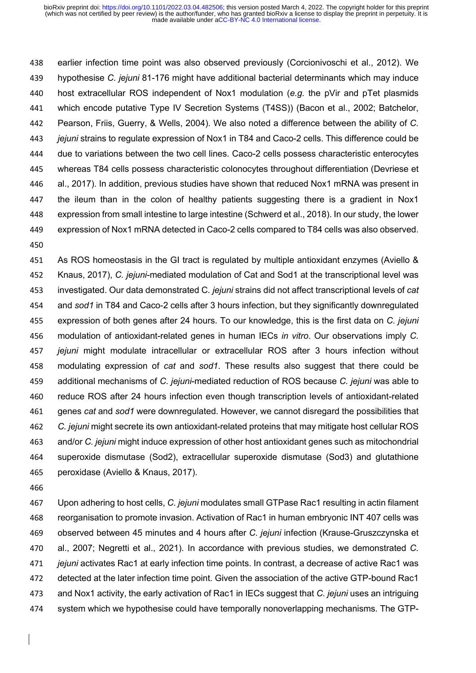earlier infection time point was also observed previously (Corcionivoschi et al., 2012). We hypothesise *C. jejuni* 81-176 might have additional bacterial determinants which may induce host extracellular ROS independent of Nox1 modulation (*e.g.* the pVir and pTet plasmids which encode putative Type IV Secretion Systems (T4SS)) (Bacon et al., 2002; Batchelor, Pearson, Friis, Guerry, & Wells, 2004). We also noted a difference between the ability of *C. jejuni* strains to regulate expression of Nox1 in T84 and Caco-2 cells. This difference could be due to variations between the two cell lines. Caco-2 cells possess characteristic enterocytes whereas T84 cells possess characteristic colonocytes throughout differentiation (Devriese et al., 2017). In addition, previous studies have shown that reduced Nox1 mRNA was present in the ileum than in the colon of healthy patients suggesting there is a gradient in Nox1 expression from small intestine to large intestine (Schwerd et al., 2018). In our study, the lower expression of Nox1 mRNA detected in Caco-2 cells compared to T84 cells was also observed. 

 As ROS homeostasis in the GI tract is regulated by multiple antioxidant enzymes (Aviello & Knaus, 2017), *C. jejuni*-mediated modulation of Cat and Sod1 at the transcriptional level was investigated. Our data demonstrated C*. jejuni* strains did not affect transcriptional levels of *cat*  and *sod1* in T84 and Caco-2 cells after 3 hours infection, but they significantly downregulated expression of both genes after 24 hours. To our knowledge, this is the first data on *C. jejuni* modulation of antioxidant-related genes in human IECs *in vitro*. Our observations imply *C. jejuni* might modulate intracellular or extracellular ROS after 3 hours infection without modulating expression of *cat* and *sod1*. These results also suggest that there could be additional mechanisms of *C. jejuni*-mediated reduction of ROS because *C. jejuni* was able to reduce ROS after 24 hours infection even though transcription levels of antioxidant-related genes *cat* and *sod1* were downregulated. However, we cannot disregard the possibilities that *C. jejuni* might secrete its own antioxidant-related proteins that may mitigate host cellular ROS and/or *C. jejuni* might induce expression of other host antioxidant genes such as mitochondrial superoxide dismutase (Sod2), extracellular superoxide dismutase (Sod3) and glutathione peroxidase (Aviello & Knaus, 2017).

 Upon adhering to host cells, *C. jejuni* modulates small GTPase Rac1 resulting in actin filament reorganisation to promote invasion. Activation of Rac1 in human embryonic INT 407 cells was observed between 45 minutes and 4 hours after *C. jejuni* infection (Krause-Gruszczynska et al., 2007; Negretti et al., 2021). In accordance with previous studies, we demonstrated *C. jejuni* activates Rac1 at early infection time points. In contrast, a decrease of active Rac1 was 472 detected at the later infection time point. Given the association of the active GTP-bound Rac1 and Nox1 activity, the early activation of Rac1 in IECs suggest that *C. jejuni* uses an intriguing system which we hypothesise could have temporally nonoverlapping mechanisms. The GTP-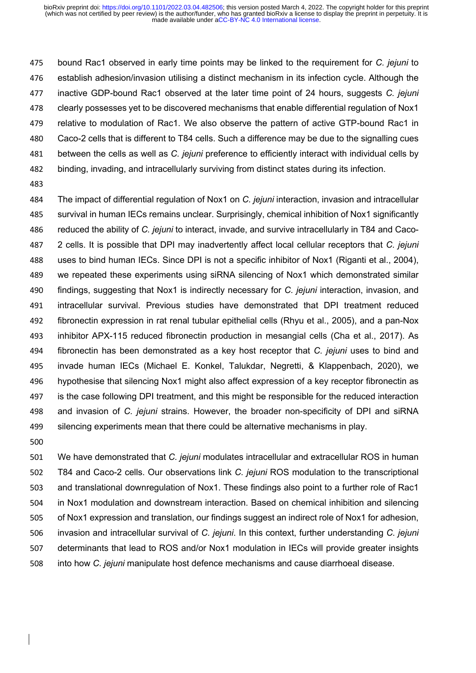bound Rac1 observed in early time points may be linked to the requirement for *C. jejuni* to establish adhesion/invasion utilising a distinct mechanism in its infection cycle. Although the inactive GDP-bound Rac1 observed at the later time point of 24 hours, suggests *C. jejuni* clearly possesses yet to be discovered mechanisms that enable differential regulation of Nox1 relative to modulation of Rac1. We also observe the pattern of active GTP-bound Rac1 in Caco-2 cells that is different to T84 cells. Such a difference may be due to the signalling cues between the cells as well as *C. jejuni* preference to efficiently interact with individual cells by binding, invading, and intracellularly surviving from distinct states during its infection.

 The impact of differential regulation of Nox1 on *C. jejuni* interaction, invasion and intracellular survival in human IECs remains unclear. Surprisingly, chemical inhibition of Nox1 significantly reduced the ability of *C. jejuni* to interact, invade, and survive intracellularly in T84 and Caco- 2 cells. It is possible that DPI may inadvertently affect local cellular receptors that *C. jejuni* uses to bind human IECs. Since DPI is not a specific inhibitor of Nox1 (Riganti et al., 2004), we repeated these experiments using siRNA silencing of Nox1 which demonstrated similar findings, suggesting that Nox1 is indirectly necessary for *C. jejuni* interaction, invasion, and intracellular survival. Previous studies have demonstrated that DPI treatment reduced fibronectin expression in rat renal tubular epithelial cells (Rhyu et al., 2005), and a pan-Nox inhibitor APX-115 reduced fibronectin production in mesangial cells (Cha et al., 2017). As fibronectin has been demonstrated as a key host receptor that *C. jejuni* uses to bind and invade human IECs (Michael E. Konkel, Talukdar, Negretti, & Klappenbach, 2020), we hypothesise that silencing Nox1 might also affect expression of a key receptor fibronectin as 497 is the case following DPI treatment, and this might be responsible for the reduced interaction and invasion of *C. jejuni* strains. However, the broader non-specificity of DPI and siRNA silencing experiments mean that there could be alternative mechanisms in play.

 We have demonstrated that *C. jejuni* modulates intracellular and extracellular ROS in human T84 and Caco-2 cells. Our observations link *C. jejuni* ROS modulation to the transcriptional and translational downregulation of Nox1. These findings also point to a further role of Rac1 in Nox1 modulation and downstream interaction. Based on chemical inhibition and silencing of Nox1 expression and translation, our findings suggest an indirect role of Nox1 for adhesion, invasion and intracellular survival of *C. jejuni*. In this context, further understanding *C. jejuni* determinants that lead to ROS and/or Nox1 modulation in IECs will provide greater insights into how *C. jejuni* manipulate host defence mechanisms and cause diarrhoeal disease.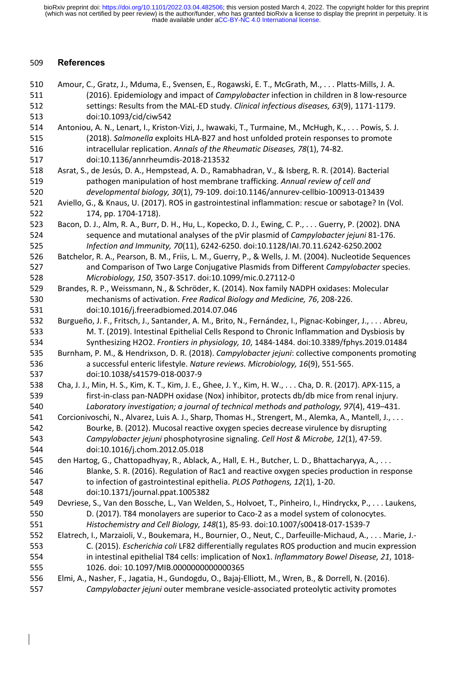#### **References**

| 510 | Amour, C., Gratz, J., Mduma, E., Svensen, E., Rogawski, E. T., McGrath, M.,  Platts-Mills, J. A.        |
|-----|---------------------------------------------------------------------------------------------------------|
| 511 | (2016). Epidemiology and impact of <i>Campylobacter</i> infection in children in 8 low-resource         |
| 512 | settings: Results from the MAL-ED study. Clinical infectious diseases, 63(9), 1171-1179.                |
| 513 | doi:10.1093/cid/ciw542                                                                                  |
| 514 | Antoniou, A. N., Lenart, I., Kriston-Vizi, J., Iwawaki, T., Turmaine, M., McHugh, K., Powis, S. J.      |
| 515 | (2018). Salmonella exploits HLA-B27 and host unfolded protein responses to promote                      |
| 516 | intracellular replication. Annals of the Rheumatic Diseases, 78(1), 74-82.                              |
| 517 | doi:10.1136/annrheumdis-2018-213532                                                                     |
| 518 | Asrat, S., de Jesús, D. A., Hempstead, A. D., Ramabhadran, V., & Isberg, R. R. (2014). Bacterial        |
| 519 | pathogen manipulation of host membrane trafficking. Annual review of cell and                           |
| 520 | developmental biology, 30(1), 79-109. doi:10.1146/annurev-cellbio-100913-013439                         |
| 521 | Aviello, G., & Knaus, U. (2017). ROS in gastrointestinal inflammation: rescue or sabotage? In (Vol.     |
| 522 | 174, pp. 1704-1718).                                                                                    |
| 523 | Bacon, D. J., Alm, R. A., Burr, D. H., Hu, L., Kopecko, D. J., Ewing, C. P., Guerry, P. (2002). DNA     |
| 524 | sequence and mutational analyses of the pVir plasmid of Campylobacter jejuni 81-176.                    |
| 525 | Infection and Immunity, 70(11), 6242-6250. doi:10.1128/IAI.70.11.6242-6250.2002                         |
| 526 | Batchelor, R. A., Pearson, B. M., Friis, L. M., Guerry, P., & Wells, J. M. (2004). Nucleotide Sequences |
| 527 | and Comparison of Two Large Conjugative Plasmids from Different Campylobacter species.                  |
| 528 | Microbiology, 150, 3507-3517. doi:10.1099/mic.0.27112-0                                                 |
| 529 | Brandes, R. P., Weissmann, N., & Schröder, K. (2014). Nox family NADPH oxidases: Molecular              |
| 530 | mechanisms of activation. Free Radical Biology and Medicine, 76, 208-226.                               |
| 531 | doi:10.1016/j.freeradbiomed.2014.07.046                                                                 |
| 532 | Burgueño, J. F., Fritsch, J., Santander, A. M., Brito, N., Fernández, I., Pignac-Kobinger, J., Abreu,   |
| 533 |                                                                                                         |
|     | M. T. (2019). Intestinal Epithelial Cells Respond to Chronic Inflammation and Dysbiosis by              |
| 534 | Synthesizing H2O2. Frontiers in physiology, 10, 1484-1484. doi:10.3389/fphys.2019.01484                 |
| 535 | Burnham, P. M., & Hendrixson, D. R. (2018). Campylobacter jejuni: collective components promoting       |
| 536 | a successful enteric lifestyle. Nature reviews. Microbiology, 16(9), 551-565.                           |
| 537 | doi:10.1038/s41579-018-0037-9                                                                           |
| 538 | Cha, J. J., Min, H. S., Kim, K. T., Kim, J. E., Ghee, J. Y., Kim, H. W., Cha, D. R. (2017). APX-115, a  |
| 539 | first-in-class pan-NADPH oxidase (Nox) inhibitor, protects db/db mice from renal injury.                |
| 540 | Laboratory investigation; a journal of technical methods and pathology, 97(4), 419–431.                 |
| 541 | Corcionivoschi, N., Alvarez, Luis A. J., Sharp, Thomas H., Strengert, M., Alemka, A., Mantell, J.,      |
| 542 | Bourke, B. (2012). Mucosal reactive oxygen species decrease virulence by disrupting                     |
| 543 | Campylobacter jejuni phosphotyrosine signaling. Cell Host & Microbe, 12(1), 47-59.                      |
| 544 | doi:10.1016/j.chom.2012.05.018                                                                          |
| 545 | den Hartog, G., Chattopadhyay, R., Ablack, A., Hall, E. H., Butcher, L. D., Bhattacharyya, A.,          |
| 546 | Blanke, S. R. (2016). Regulation of Rac1 and reactive oxygen species production in response             |
| 547 | to infection of gastrointestinal epithelia. PLOS Pathogens, 12(1), 1-20.                                |
| 548 | doi:10.1371/journal.ppat.1005382                                                                        |
| 549 | Devriese, S., Van den Bossche, L., Van Welden, S., Holvoet, T., Pinheiro, I., Hindryckx, P., Laukens,   |
| 550 | D. (2017). T84 monolayers are superior to Caco-2 as a model system of colonocytes.                      |
| 551 | Histochemistry and Cell Biology, 148(1), 85-93. doi:10.1007/s00418-017-1539-7                           |
| 552 | Elatrech, I., Marzaioli, V., Boukemara, H., Bournier, O., Neut, C., Darfeuille-Michaud, A., Marie, J.-  |
| 553 | C. (2015). Escherichia coli LF82 differentially regulates ROS production and mucin expression           |
| 554 | in intestinal epithelial T84 cells: implication of Nox1. Inflammatory Bowel Disease, 21, 1018-          |
| 555 | 1026. doi: 10.1097/MIB.0000000000000365                                                                 |
| 556 | Elmi, A., Nasher, F., Jagatia, H., Gundogdu, O., Bajaj-Elliott, M., Wren, B., & Dorrell, N. (2016).     |
| 557 | Campylobacter jejuni outer membrane vesicle-associated proteolytic activity promotes                    |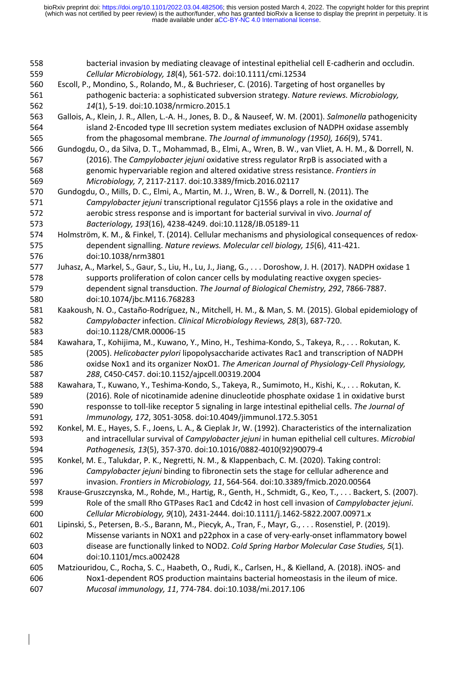| 558<br>559 | bacterial invasion by mediating cleavage of intestinal epithelial cell E-cadherin and occludin.<br>Cellular Microbiology, 18(4), 561-572. doi:10.1111/cmi.12534  |
|------------|------------------------------------------------------------------------------------------------------------------------------------------------------------------|
| 560        | Escoll, P., Mondino, S., Rolando, M., & Buchrieser, C. (2016). Targeting of host organelles by                                                                   |
| 561        | pathogenic bacteria: a sophisticated subversion strategy. Nature reviews. Microbiology,                                                                          |
| 562        | 14(1), 5-19. doi:10.1038/nrmicro.2015.1                                                                                                                          |
| 563        | Gallois, A., Klein, J. R., Allen, L.-A. H., Jones, B. D., & Nauseef, W. M. (2001). Salmonella pathogenicity                                                      |
| 564        | island 2-Encoded type III secretion system mediates exclusion of NADPH oxidase assembly                                                                          |
| 565        | from the phagosomal membrane. The Journal of immunology (1950), 166(9), 5741.                                                                                    |
| 566        | Gundogdu, O., da Silva, D. T., Mohammad, B., Elmi, A., Wren, B. W., van Vliet, A. H. M., & Dorrell, N.                                                           |
| 567        | (2016). The Campylobacter jejuni oxidative stress regulator RrpB is associated with a                                                                            |
| 568        | genomic hypervariable region and altered oxidative stress resistance. Frontiers in                                                                               |
| 569        | Microbiology, 7, 2117-2117. doi:10.3389/fmicb.2016.02117                                                                                                         |
| 570        | Gundogdu, O., Mills, D. C., Elmi, A., Martin, M. J., Wren, B. W., & Dorrell, N. (2011). The                                                                      |
| 571        | Campylobacter jejuni transcriptional regulator Cj1556 plays a role in the oxidative and                                                                          |
| 572        |                                                                                                                                                                  |
| 573        | aerobic stress response and is important for bacterial survival in vivo. Journal of                                                                              |
| 574        | Bacteriology, 193(16), 4238-4249. doi:10.1128/JB.05189-11<br>Holmström, K. M., & Finkel, T. (2014). Cellular mechanisms and physiological consequences of redox- |
| 575        | dependent signalling. Nature reviews. Molecular cell biology, 15(6), 411-421.                                                                                    |
| 576        | doi:10.1038/nrm3801                                                                                                                                              |
| 577        | Juhasz, A., Markel, S., Gaur, S., Liu, H., Lu, J., Jiang, G., Doroshow, J. H. (2017). NADPH oxidase 1                                                            |
| 578        | supports proliferation of colon cancer cells by modulating reactive oxygen species-                                                                              |
| 579        | dependent signal transduction. The Journal of Biological Chemistry, 292, 7866-7887.                                                                              |
| 580        | doi:10.1074/jbc.M116.768283                                                                                                                                      |
| 581        | Kaakoush, N. O., Castaño-Rodríguez, N., Mitchell, H. M., & Man, S. M. (2015). Global epidemiology of                                                             |
| 582        | Campylobacter infection. Clinical Microbiology Reviews, 28(3), 687-720.                                                                                          |
| 583        | doi:10.1128/CMR.00006-15                                                                                                                                         |
| 584        | Kawahara, T., Kohijima, M., Kuwano, Y., Mino, H., Teshima-Kondo, S., Takeya, R., Rokutan, K.                                                                     |
| 585        | (2005). Helicobacter pylori lipopolysaccharide activates Rac1 and transcription of NADPH                                                                         |
| 586        | oxidse Nox1 and its organizer NoxO1. The American Journal of Physiology-Cell Physiology,                                                                         |
| 587        | 288, C450-C457. doi:10.1152/ajpcell.00319.2004                                                                                                                   |
| 588        | Kawahara, T., Kuwano, Y., Teshima-Kondo, S., Takeya, R., Sumimoto, H., Kishi, K., Rokutan, K.                                                                    |
| 589        | (2016). Role of nicotinamide adenine dinucleotide phosphate oxidase 1 in oxidative burst                                                                         |
| 590        | responsse to toll-like receptor 5 signaling in large intestinal epithelial cells. The Journal of                                                                 |
| 591        | Immunology, 172, 3051-3058. doi:10.4049/jimmunol.172.5.3051                                                                                                      |
| 592        | Konkel, M. E., Hayes, S. F., Joens, L. A., & Cieplak Jr, W. (1992). Characteristics of the internalization                                                       |
| 593        | and intracellular survival of Campylobacter jejuni in human epithelial cell cultures. Microbial                                                                  |
| 594        | Pathogenesis, 13(5), 357-370. doi:10.1016/0882-4010(92)90079-4                                                                                                   |
| 595        | Konkel, M. E., Talukdar, P. K., Negretti, N. M., & Klappenbach, C. M. (2020). Taking control:                                                                    |
| 596        | Campylobacter jejuni binding to fibronectin sets the stage for cellular adherence and                                                                            |
| 597        | invasion. Frontiers in Microbiology, 11, 564-564. doi:10.3389/fmicb.2020.00564                                                                                   |
| 598        | Krause-Gruszczynska, M., Rohde, M., Hartig, R., Genth, H., Schmidt, G., Keo, T., Backert, S. (2007).                                                             |
| 599        | Role of the small Rho GTPases Rac1 and Cdc42 in host cell invasion of Campylobacter jejuni.                                                                      |
| 600        | Cellular Microbiology, 9(10), 2431-2444. doi:10.1111/j.1462-5822.2007.00971.x                                                                                    |
| 601        | Lipinski, S., Petersen, B.-S., Barann, M., Piecyk, A., Tran, F., Mayr, G.,  Rosenstiel, P. (2019).                                                               |
| 602        | Missense variants in NOX1 and p22phox in a case of very-early-onset inflammatory bowel                                                                           |
| 603        | disease are functionally linked to NOD2. Cold Spring Harbor Molecular Case Studies, 5(1).                                                                        |
| 604        | doi:10.1101/mcs.a002428                                                                                                                                          |
| 605        | Matziouridou, C., Rocha, S. C., Haabeth, O., Rudi, K., Carlsen, H., & Kielland, A. (2018). iNOS- and                                                             |
| 606        | Nox1-dependent ROS production maintains bacterial homeostasis in the ileum of mice.                                                                              |
| 607        | Mucosal immunology, 11, 774-784. doi:10.1038/mi.2017.106                                                                                                         |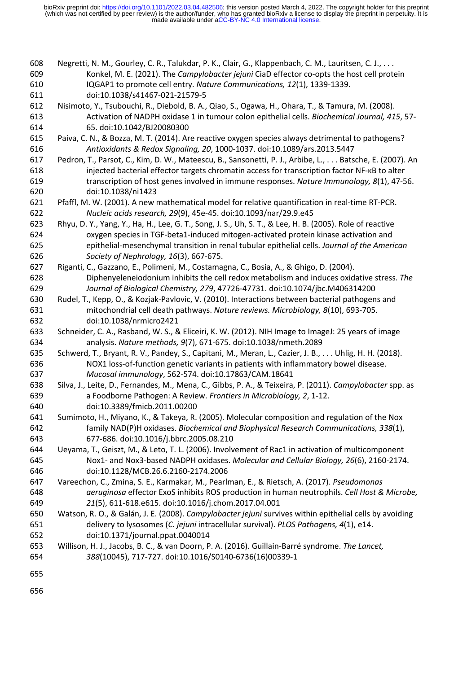Negretti, N. M., Gourley, C. R., Talukdar, P. K., Clair, G., Klappenbach, C. M., Lauritsen, C. J., . . . Konkel, M. E. (2021). The *Campylobacter jejuni* CiaD effector co-opts the host cell protein IQGAP1 to promote cell entry. *Nature Communications, 12*(1), 1339-1339. doi:10.1038/s41467-021-21579-5 Nisimoto, Y., Tsubouchi, R., Diebold, B. A., Qiao, S., Ogawa, H., Ohara, T., & Tamura, M. (2008). Activation of NADPH oxidase 1 in tumour colon epithelial cells. *Biochemical Journal, 415*, 57- 65. doi:10.1042/BJ20080300 Paiva, C. N., & Bozza, M. T. (2014). Are reactive oxygen species always detrimental to pathogens? *Antioxidants & Redox Signaling, 20*, 1000-1037. doi:10.1089/ars.2013.5447 Pedron, T., Parsot, C., Kim, D. W., Mateescu, B., Sansonetti, P. J., Arbibe, L., . . . Batsche, E. (2007). An injected bacterial effector targets chromatin access for transcription factor NF-κB to alter transcription of host genes involved in immune responses. *Nature Immunology, 8*(1), 47-56. doi:10.1038/ni1423 Pfaffl, M. W. (2001). A new mathematical model for relative quantification in real-time RT-PCR. *Nucleic acids research, 29*(9), 45e-45. doi:10.1093/nar/29.9.e45 Rhyu, D. Y., Yang, Y., Ha, H., Lee, G. T., Song, J. S., Uh, S. T., & Lee, H. B. (2005). Role of reactive oxygen species in TGF-beta1-induced mitogen-activated protein kinase activation and epithelial-mesenchymal transition in renal tubular epithelial cells. *Journal of the American Society of Nephrology, 16*(3), 667-675. Riganti, C., Gazzano, E., Polimeni, M., Costamagna, C., Bosia, A., & Ghigo, D. (2004). Diphenyeleneiodonium inhibits the cell redox metabolism and induces oxidative stress. *The Journal of Biological Chemistry, 279*, 47726-47731. doi:10.1074/jbc.M406314200 Rudel, T., Kepp, O., & Kozjak-Pavlovic, V. (2010). Interactions between bacterial pathogens and mitochondrial cell death pathways. *Nature reviews. Microbiology, 8*(10), 693-705. doi:10.1038/nrmicro2421 Schneider, C. A., Rasband, W. S., & Eliceiri, K. W. (2012). NIH Image to ImageJ: 25 years of image analysis. *Nature methods, 9*(7), 671-675. doi:10.1038/nmeth.2089 Schwerd, T., Bryant, R. V., Pandey, S., Capitani, M., Meran, L., Cazier, J. B., . . . Uhlig, H. H. (2018). NOX1 loss-of-function genetic variants in patients with inflammatory bowel disease. *Mucosal immunology*, 562-574. doi:10.17863/CAM.18641 Silva, J., Leite, D., Fernandes, M., Mena, C., Gibbs, P. A., & Teixeira, P. (2011). *Campylobacter* spp. as a Foodborne Pathogen: A Review. *Frontiers in Microbiology, 2*, 1-12. doi:10.3389/fmicb.2011.00200 Sumimoto, H., Miyano, K., & Takeya, R. (2005). Molecular composition and regulation of the Nox family NAD(P)H oxidases. *Biochemical and Biophysical Research Communications, 338*(1), 677-686. doi:10.1016/j.bbrc.2005.08.210 Ueyama, T., Geiszt, M., & Leto, T. L. (2006). Involvement of Rac1 in activation of multicomponent Nox1- and Nox3-based NADPH oxidases. *Molecular and Cellular Biology, 26*(6), 2160-2174. doi:10.1128/MCB.26.6.2160-2174.2006 Vareechon, C., Zmina, S. E., Karmakar, M., Pearlman, E., & Rietsch, A. (2017). *Pseudomonas aeruginosa* effector ExoS inhibits ROS production in human neutrophils. *Cell Host & Microbe, 21*(5), 611-618.e615. doi:10.1016/j.chom.2017.04.001 Watson, R. O., & Galán, J. E. (2008). *Campylobacter jejuni* survives within epithelial cells by avoiding delivery to lysosomes (*C. jejuni* intracellular survival). *PLOS Pathogens, 4*(1), e14. doi:10.1371/journal.ppat.0040014 Willison, H. J., Jacobs, B. C., & van Doorn, P. A. (2016). Guillain-Barré syndrome. *The Lancet, 388*(10045), 717-727. doi:10.1016/S0140-6736(16)00339-1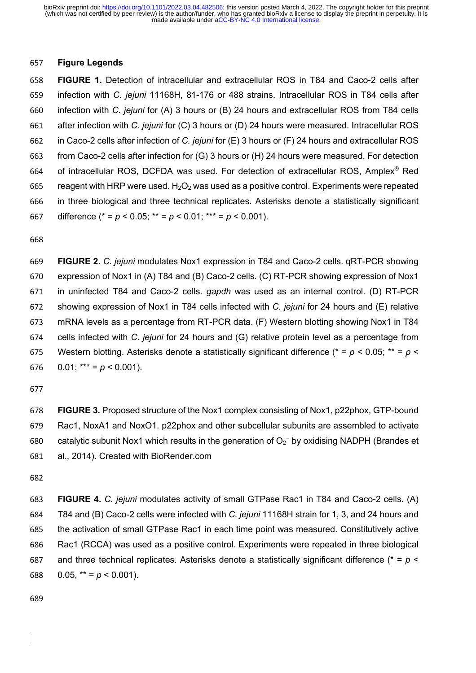#### **Figure Legends**

 **FIGURE 1.** Detection of intracellular and extracellular ROS in T84 and Caco-2 cells after infection with *C. jejuni* 11168H, 81-176 or 488 strains. Intracellular ROS in T84 cells after infection with *C. jejuni* for (A) 3 hours or (B) 24 hours and extracellular ROS from T84 cells after infection with *C. jejuni* for (C) 3 hours or (D) 24 hours were measured. Intracellular ROS in Caco-2 cells after infection of *C. jejuni* for (E) 3 hours or (F) 24 hours and extracellular ROS from Caco-2 cells after infection for (G) 3 hours or (H) 24 hours were measured. For detection 664 of intracellular ROS, DCFDA was used. For detection of extracellular ROS, Amplex<sup>®</sup> Red 665 reagent with HRP were used.  $H_2O_2$  was used as a positive control. Experiments were repeated in three biological and three technical replicates. Asterisks denote a statistically significant difference (\* = *p* < 0.05; \*\* = *p* < 0.01; \*\*\* = *p* < 0.001).

 **FIGURE 2.** *C. jejuni* modulates Nox1 expression in T84 and Caco-2 cells. qRT-PCR showing expression of Nox1 in (A) T84 and (B) Caco-2 cells. (C) RT-PCR showing expression of Nox1 in uninfected T84 and Caco-2 cells. *gapdh* was used as an internal control. (D) RT-PCR showing expression of Nox1 in T84 cells infected with *C. jejuni* for 24 hours and (E) relative mRNA levels as a percentage from RT-PCR data. (F) Western blotting showing Nox1 in T84 cells infected with *C. jejuni* for 24 hours and (G) relative protein level as a percentage from Western blotting. Asterisks denote a statistically significant difference (\* = *p* < 0.05; \*\* = *p* < 676 0.01; \*\*\* =  $p$  < 0.001).

 **FIGURE 3.** Proposed structure of the Nox1 complex consisting of Nox1, p22phox, GTP-bound Rac1, NoxA1 and NoxO1. p22phox and other subcellular subunits are assembled to activate 680 catalytic subunit Nox1 which results in the generation of  $O_2^-$  by oxidising NADPH (Brandes et al., 2014). Created with BioRender.com

 **FIGURE 4.** *C. jejuni* modulates activity of small GTPase Rac1 in T84 and Caco-2 cells. (A) T84 and (B) Caco-2 cells were infected with *C. jejuni* 11168H strain for 1, 3, and 24 hours and the activation of small GTPase Rac1 in each time point was measured. Constitutively active Rac1 (RCCA) was used as a positive control. Experiments were repeated in three biological and three technical replicates. Asterisks denote a statistically significant difference (\* = *p* <  $0.05$ , \*\* =  $p < 0.001$ ).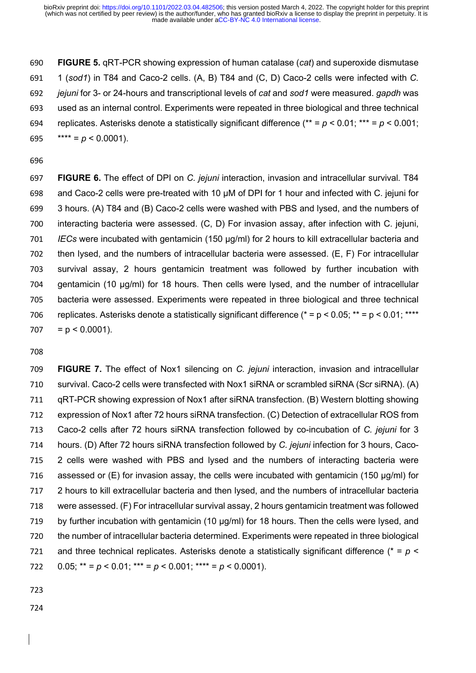**FIGURE 5.** qRT-PCR showing expression of human catalase (*cat*) and superoxide dismutase 1 (*sod1*) in T84 and Caco-2 cells. (A, B) T84 and (C, D) Caco-2 cells were infected with *C. jejuni* for 3- or 24-hours and transcriptional levels of *cat* and *sod1* were measured. *gapdh* was used as an internal control. Experiments were repeated in three biological and three technical replicates. Asterisks denote a statistically significant difference (\*\* = *p* < 0.01; \*\*\* = *p* < 0.001; 695 \*\*\*\* =  $p < 0.0001$ ).

 **FIGURE 6.** The effect of DPI on *C. jejuni* interaction, invasion and intracellular survival*.* T84 and Caco-2 cells were pre-treated with 10 µM of DPI for 1 hour and infected with C. jejuni for 3 hours. (A) T84 and (B) Caco-2 cells were washed with PBS and lysed, and the numbers of interacting bacteria were assessed. (C, D) For invasion assay, after infection with C. jejuni, *IECs* were incubated with gentamicin (150 µg/ml) for 2 hours to kill extracellular bacteria and then lysed, and the numbers of intracellular bacteria were assessed. (E, F) For intracellular survival assay, 2 hours gentamicin treatment was followed by further incubation with gentamicin (10 µg/ml) for 18 hours. Then cells were lysed, and the number of intracellular bacteria were assessed. Experiments were repeated in three biological and three technical 706 replicates. Asterisks denote a statistically significant difference ( $* = p < 0.05$ ;  $** = p < 0.01$ ; \*\*\*\*  $707 = p < 0.0001$ ).

 **FIGURE 7.** The effect of Nox1 silencing on *C. jejuni* interaction, invasion and intracellular survival. Caco-2 cells were transfected with Nox1 siRNA or scrambled siRNA (Scr siRNA). (A) qRT-PCR showing expression of Nox1 after siRNA transfection. (B) Western blotting showing expression of Nox1 after 72 hours siRNA transfection. (C) Detection of extracellular ROS from Caco-2 cells after 72 hours siRNA transfection followed by co-incubation of *C. jejuni* for 3 hours. (D) After 72 hours siRNA transfection followed by *C. jejuni* infection for 3 hours, Caco- 2 cells were washed with PBS and lysed and the numbers of interacting bacteria were 716 assessed or  $(E)$  for invasion assay, the cells were incubated with gentamicin (150  $\mu$ g/ml) for 2 hours to kill extracellular bacteria and then lysed, and the numbers of intracellular bacteria were assessed. (F) For intracellular survival assay, 2 hours gentamicin treatment was followed 719 by further incubation with gentamicin (10 µg/ml) for 18 hours. Then the cells were lysed, and the number of intracellular bacteria determined. Experiments were repeated in three biological 721 and three technical replicates. Asterisks denote a statistically significant difference ( $* = p <$ 722 0.05; \*\* =  $p$  < 0.01; \*\*\* =  $p$  < 0.001; \*\*\*\* =  $p$  < 0.0001).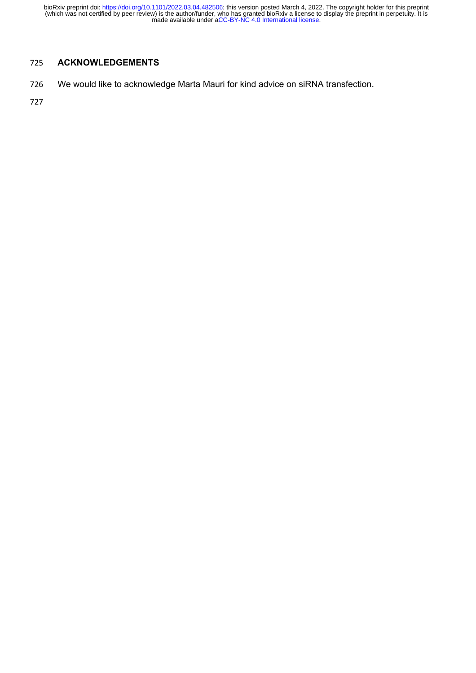### 725 **ACKNOWLEDGEMENTS**

726 We would like to acknowledge Marta Mauri for kind advice on siRNA transfection.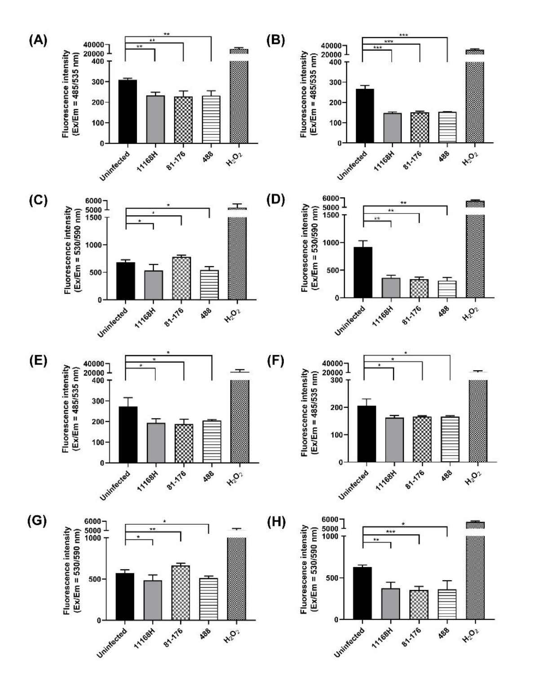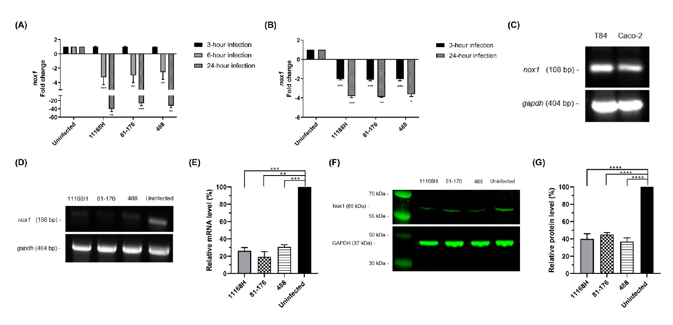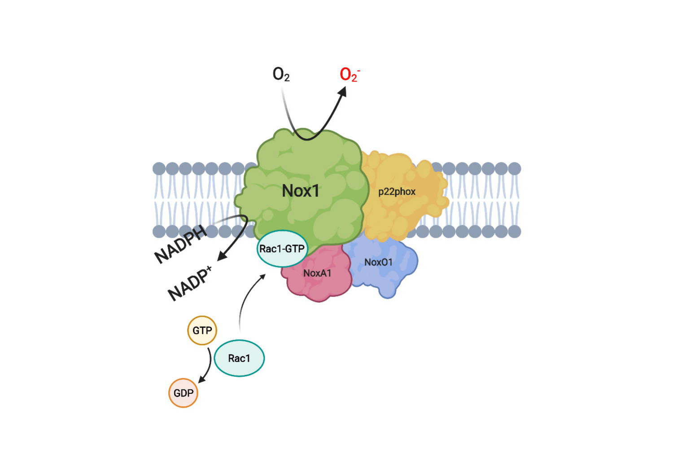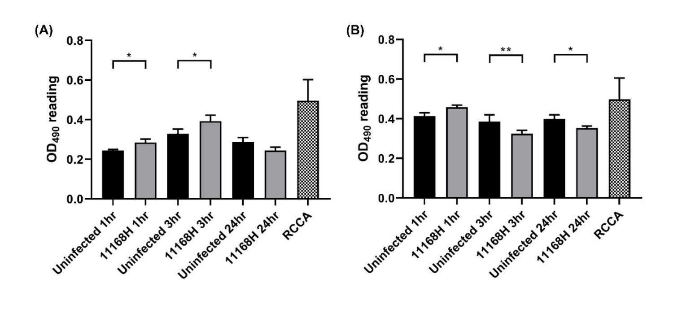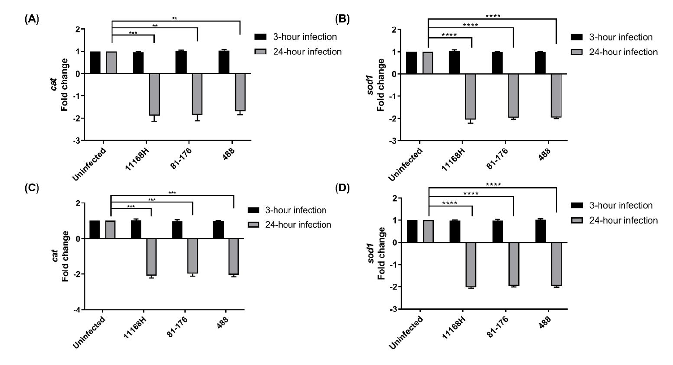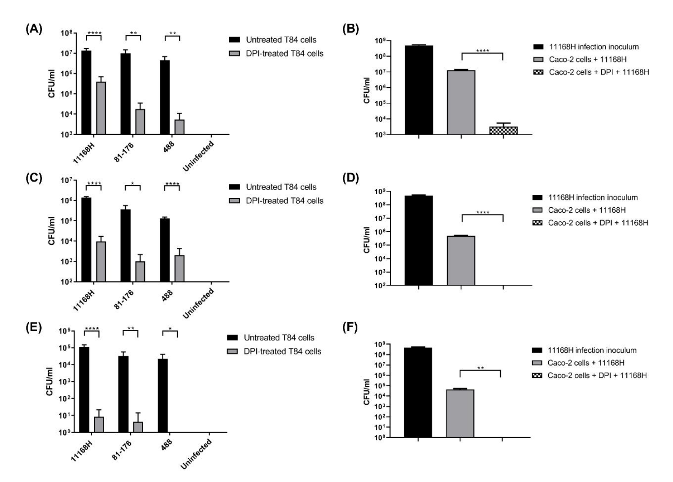